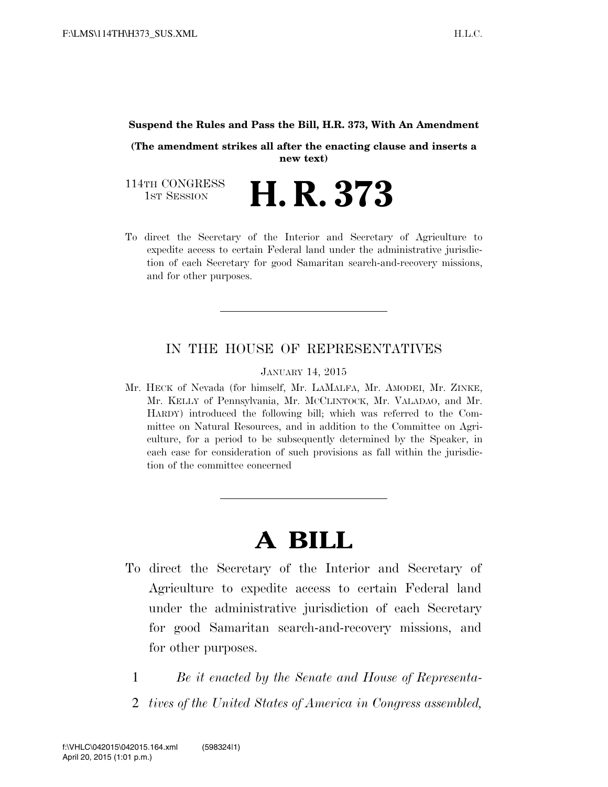#### **Suspend the Rules and Pass the Bill, H.R. 373, With An Amendment**

**(The amendment strikes all after the enacting clause and inserts a new text)** 

114TH CONGRESS<br>1st Session H. R. 373

To direct the Secretary of the Interior and Secretary of Agriculture to expedite access to certain Federal land under the administrative jurisdiction of each Secretary for good Samaritan search-and-recovery missions, and for other purposes.

## IN THE HOUSE OF REPRESENTATIVES

JANUARY 14, 2015

Mr. HECK of Nevada (for himself, Mr. LAMALFA, Mr. AMODEI, Mr. ZINKE, Mr. KELLY of Pennsylvania, Mr. MCCLINTOCK, Mr. VALADAO, and Mr. HARDY) introduced the following bill; which was referred to the Committee on Natural Resources, and in addition to the Committee on Agriculture, for a period to be subsequently determined by the Speaker, in each case for consideration of such provisions as fall within the jurisdiction of the committee concerned

# **A BILL**

- To direct the Secretary of the Interior and Secretary of Agriculture to expedite access to certain Federal land under the administrative jurisdiction of each Secretary for good Samaritan search-and-recovery missions, and for other purposes.
	- 1 *Be it enacted by the Senate and House of Representa-*
	- 2 *tives of the United States of America in Congress assembled,*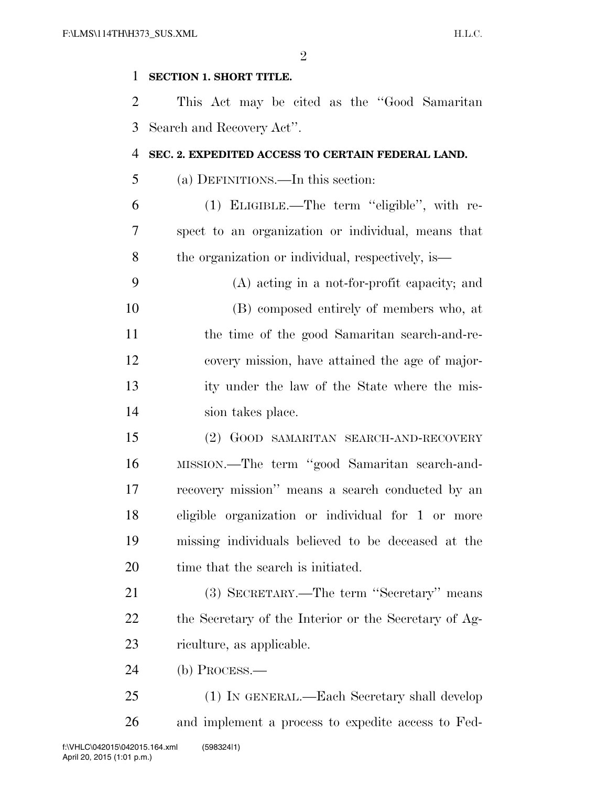$\mathfrak{D}$ 

### **SECTION 1. SHORT TITLE.**

 This Act may be cited as the ''Good Samaritan Search and Recovery Act''.

### **SEC. 2. EXPEDITED ACCESS TO CERTAIN FEDERAL LAND.**

(a) DEFINITIONS.—In this section:

 (1) ELIGIBLE.—The term ''eligible'', with re- spect to an organization or individual, means that the organization or individual, respectively, is—

 (A) acting in a not-for-profit capacity; and (B) composed entirely of members who, at the time of the good Samaritan search-and-re- covery mission, have attained the age of major- ity under the law of the State where the mis-sion takes place.

 (2) GOOD SAMARITAN SEARCH-AND-RECOVERY MISSION.—The term ''good Samaritan search-and- recovery mission'' means a search conducted by an eligible organization or individual for 1 or more missing individuals believed to be deceased at the 20 time that the search is initiated.

 (3) SECRETARY.—The term ''Secretary'' means the Secretary of the Interior or the Secretary of Ag-riculture, as applicable.

(b) PROCESS.—

 (1) IN GENERAL.—Each Secretary shall develop and implement a process to expedite access to Fed-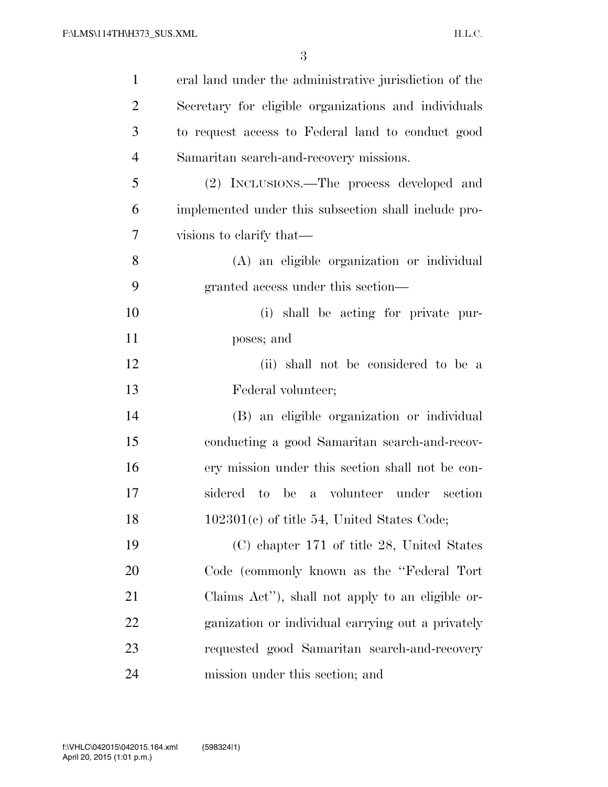| $\mathbf{1}$   | eral land under the administrative jurisdiction of the |
|----------------|--------------------------------------------------------|
| $\overline{2}$ | Secretary for eligible organizations and individuals   |
| 3              | to request access to Federal land to conduct good      |
| $\overline{4}$ | Samaritan search-and-recovery missions.                |
| 5              | (2) INCLUSIONS.—The process developed and              |
| 6              | implemented under this subsection shall include pro-   |
| $\tau$         | visions to clarify that—                               |
| 8              | (A) an eligible organization or individual             |
| 9              | granted access under this section—                     |
| 10             | (i) shall be acting for private pur-                   |
| 11             | poses; and                                             |
| 12             | (ii) shall not be considered to be a                   |
| 13             | Federal volunteer;                                     |
| 14             | (B) an eligible organization or individual             |
| 15             | conducting a good Samaritan search-and-recov-          |
| 16             | ery mission under this section shall not be con-       |
| 17             | sidered to be a volunteer under section                |
| 18             | 102301(c) of title 54, United States Code;             |
| 19             | (C) chapter 171 of title 28, United States             |
| 20             | Code (commonly known as the "Federal Tort"             |
| 21             | Claims Act"), shall not apply to an eligible or-       |
| 22             | ganization or individual carrying out a privately      |
| 23             | requested good Samaritan search-and-recovery           |
| 24             | mission under this section; and                        |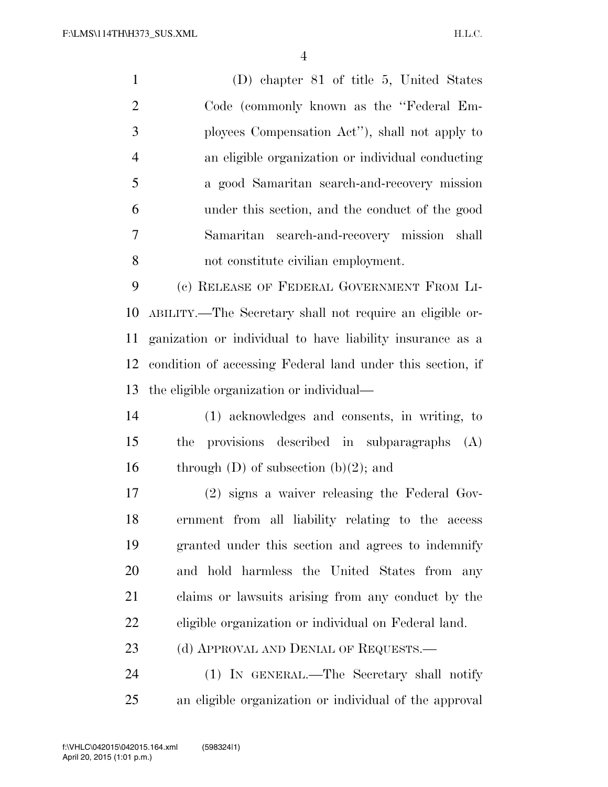(D) chapter 81 of title 5, United States 2 Code (commonly known as the "Federal Em- ployees Compensation Act''), shall not apply to an eligible organization or individual conducting a good Samaritan search-and-recovery mission under this section, and the conduct of the good Samaritan search-and-recovery mission shall not constitute civilian employment. (c) RELEASE OF FEDERAL GOVERNMENT FROM LI-ABILITY.—The Secretary shall not require an eligible or-

 ganization or individual to have liability insurance as a condition of accessing Federal land under this section, if the eligible organization or individual—

 (1) acknowledges and consents, in writing, to the provisions described in subparagraphs (A) 16 through  $(D)$  of subsection  $(b)(2)$ ; and

 (2) signs a waiver releasing the Federal Gov- ernment from all liability relating to the access granted under this section and agrees to indemnify and hold harmless the United States from any claims or lawsuits arising from any conduct by the eligible organization or individual on Federal land.

23 (d) APPROVAL AND DENIAL OF REQUESTS.—

 (1) IN GENERAL.—The Secretary shall notify an eligible organization or individual of the approval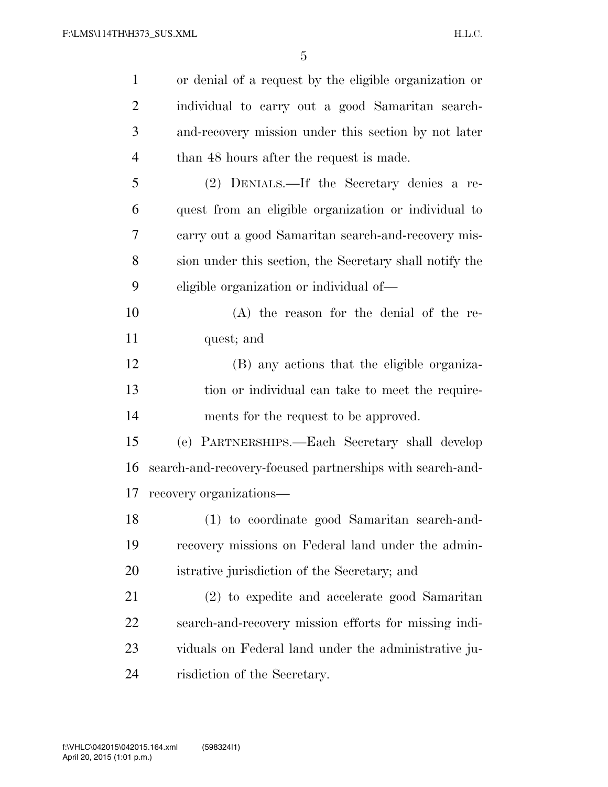| $\mathbf{1}$   | or denial of a request by the eligible organization or    |
|----------------|-----------------------------------------------------------|
| $\overline{2}$ | individual to carry out a good Samaritan search-          |
| 3              | and-recovery mission under this section by not later      |
| $\overline{4}$ | than 48 hours after the request is made.                  |
| 5              | (2) DENIALS.—If the Secretary denies a re-                |
| 6              | quest from an eligible organization or individual to      |
| 7              | carry out a good Samaritan search-and-recovery mis-       |
| 8              | sion under this section, the Secretary shall notify the   |
| 9              | eligible organization or individual of-                   |
| 10             | $(A)$ the reason for the denial of the re-                |
| 11             | quest; and                                                |
| 12             | (B) any actions that the eligible organiza-               |
| 13             | tion or individual can take to meet the require-          |
| 14             | ments for the request to be approved.                     |
| 15             | (e) PARTNERSHIPS.-Each Secretary shall develop            |
| 16             | search-and-recovery-focused partnerships with search-and- |
| 17             | recovery organizations-                                   |
| 18             | (1) to coordinate good Samaritan search-and-              |
| 19             | recovery missions on Federal land under the admin-        |
| 20             | istrative jurisdiction of the Secretary; and              |
| 21             | (2) to expedite and accelerate good Samaritan             |
| 22             | search-and-recovery mission efforts for missing indi-     |
| 23             | viduals on Federal land under the administrative ju-      |
| 24             | risdiction of the Secretary.                              |